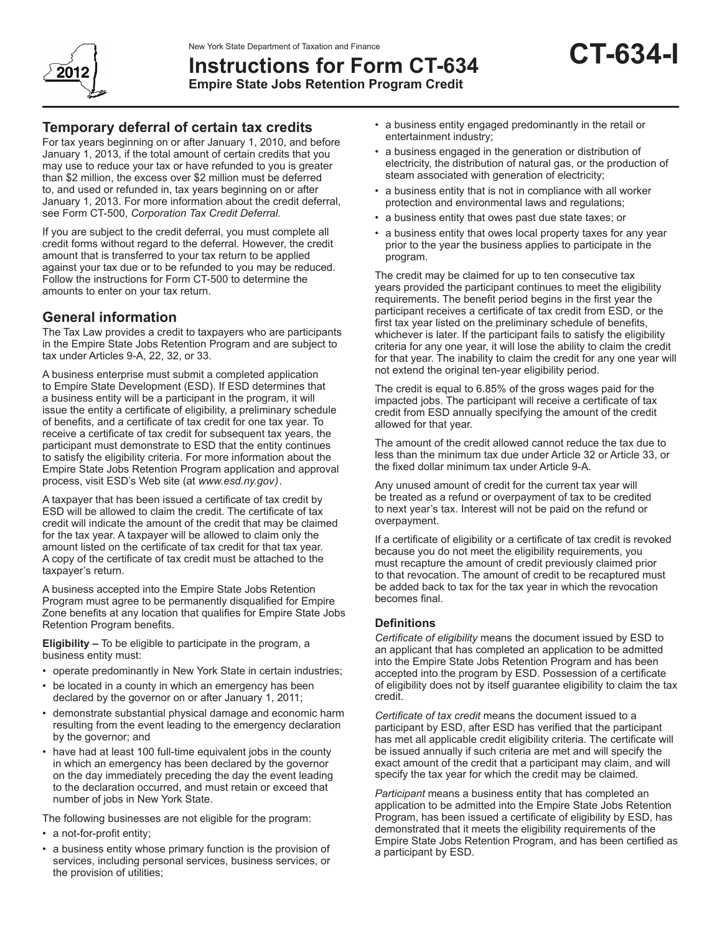

# **Instructions for Form CT-634 Empire State Jobs Retention Program Credit**

For tax years beginning on or after January 1, 2010, and before January 1, 2013, if the total amount of certain credits that you may use to reduce your tax or have refunded to you is greater than \$2 million, the excess over \$2 million must be deferred to, and used or refunded in, tax years beginning on or after January 1, 2013. For more information about the credit deferral, see Form CT-500, *Corporation Tax Credit Deferral.*

If you are subject to the credit deferral, you must complete all credit forms without regard to the deferral. However, the credit amount that is transferred to your tax return to be applied against your tax due or to be refunded to you may be reduced. Follow the instructions for Form CT-500 to determine the amounts to enter on your tax return.

# **General information**

The Tax Law provides a credit to taxpayers who are participants in the Empire State Jobs Retention Program and are subject to tax under Articles 9-A, 22, 32, or 33.

A business enterprise must submit a completed application to Empire State Development (ESD). If ESD determines that a business entity will be a participant in the program, it will issue the entity a certificate of eligibility, a preliminary schedule of benefits, and a certificate of tax credit for one tax year*.* To receive a certificate of tax credit for subsequent tax years, the participant must demonstrate to ESD that the entity continues to satisfy the eligibility criteria. For more information about the Empire State Jobs Retention Program application and approval process, visit ESD's Web site (at *www.esd.ny.gov)*.

A taxpayer that has been issued a certificate of tax credit by ESD will be allowed to claim the credit. The certificate of tax credit will indicate the amount of the credit that may be claimed for the tax year. A taxpayer will be allowed to claim only the amount listed on the certificate of tax credit for that tax year. A copy of the certificate of tax credit must be attached to the taxpayer's return.

A business accepted into the Empire State Jobs Retention Program must agree to be permanently disqualified for Empire Zone benefits at any location that qualifies for Empire State Jobs Retention Program benefits.

**Eligibility –** To be eligible to participate in the program, a business entity must:

- operate predominantly in New York State in certain industries;
- be located in a county in which an emergency has been declared by the governor on or after January 1, 2011;
- demonstrate substantial physical damage and economic harm resulting from the event leading to the emergency declaration by the governor; and
- have had at least 100 full-time equivalent jobs in the county in which an emergency has been declared by the governor on the day immediately preceding the day the event leading to the declaration occurred, and must retain or exceed that number of jobs in New York State.

The following businesses are not eligible for the program:

- a not-for-profit entity;
- a business entity whose primary function is the provision of services, including personal services, business services, or the provision of utilities;
- a business entity engaged predominantly in the retail or entertainment industry;
- a business engaged in the generation or distribution of electricity, the distribution of natural gas, or the production of steam associated with generation of electricity;
- a business entity that is not in compliance with all worker protection and environmental laws and regulations;
- a business entity that owes past due state taxes; or
- a business entity that owes local property taxes for any year prior to the year the business applies to participate in the program.

The credit may be claimed for up to ten consecutive tax years provided the participant continues to meet the eligibility requirements. The benefit period begins in the first year the participant receives a certificate of tax credit from ESD, or the first tax year listed on the preliminary schedule of benefits, whichever is later. If the participant fails to satisfy the eligibility criteria for any one year, it will lose the ability to claim the credit for that year. The inability to claim the credit for any one year will not extend the original ten-year eligibility period.

The credit is equal to 6.85% of the gross wages paid for the impacted jobs. The participant will receive a certificate of tax credit from ESD annually specifying the amount of the credit allowed for that year.

The amount of the credit allowed cannot reduce the tax due to less than the minimum tax due under Article 32 or Article 33, or the fixed dollar minimum tax under Article 9-A.

Any unused amount of credit for the current tax year will be treated as a refund or overpayment of tax to be credited to next year's tax. Interest will not be paid on the refund or overpayment.

If a certificate of eligibility or a certificate of tax credit is revoked because you do not meet the eligibility requirements, you must recapture the amount of credit previously claimed prior to that revocation. The amount of credit to be recaptured must be added back to tax for the tax year in which the revocation becomes final.

### **Definitions**

*Certificate of eligibility* means the document issued by ESD to an applicant that has completed an application to be admitted into the Empire State Jobs Retention Program and has been accepted into the program by ESD. Possession of a certificate of eligibility does not by itself guarantee eligibility to claim the tax credit.

*Certificate of tax credit* means the document issued to a participant by ESD, after ESD has verified that the participant has met all applicable credit eligibility criteria. The certificate will be issued annually if such criteria are met and will specify the exact amount of the credit that a participant may claim, and will specify the tax year for which the credit may be claimed.

*Participant* means a business entity that has completed an application to be admitted into the Empire State Jobs Retention Program, has been issued a certificate of eligibility by ESD, has demonstrated that it meets the eligibility requirements of the Empire State Jobs Retention Program, and has been certified as a participant by ESD.